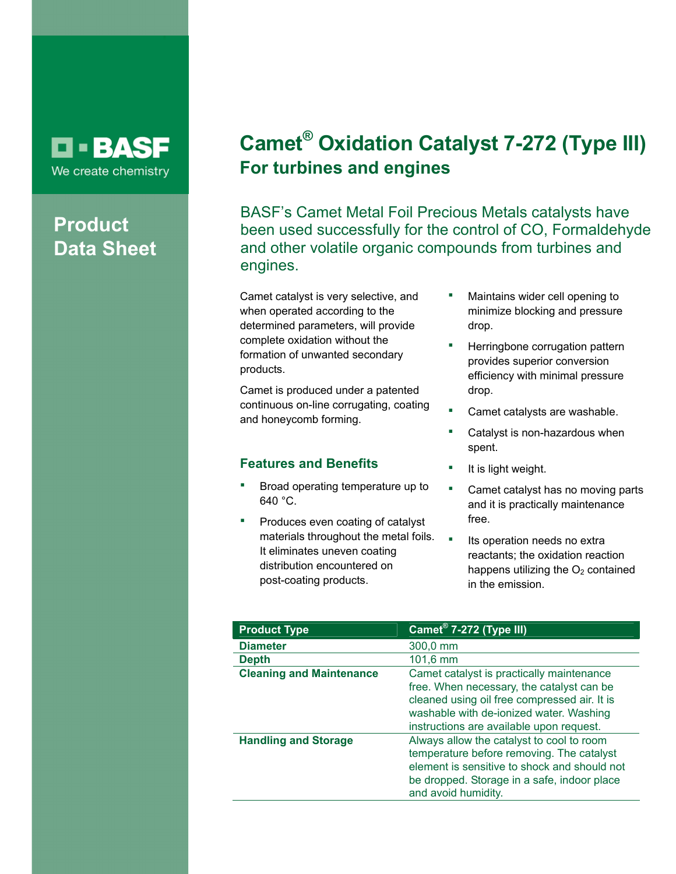# **D-BASF** We create chemistry

# **Product Data Sheet**

# **Camet® Oxidation Catalyst 7-272 (Type III) For turbines and engines**

BASF's Camet Metal Foil Precious Metals catalysts have been used successfully for the control of CO, Formaldehyde and other volatile organic compounds from turbines and engines.

Camet catalyst is very selective, and when operated according to the determined parameters, will provide complete oxidation without the formation of unwanted secondary products.

Camet is produced under a patented continuous on-line corrugating, coating and honeycomb forming.

### **Features and Benefits**

- Broad operating temperature up to 640 °C.
- Produces even coating of catalyst materials throughout the metal foils. It eliminates uneven coating distribution encountered on post-coating products.
- Maintains wider cell opening to minimize blocking and pressure drop.
- Herringbone corrugation pattern provides superior conversion efficiency with minimal pressure drop.
- Camet catalysts are washable.
- Catalyst is non-hazardous when spent.
- It is light weight.
- **•** Camet catalyst has no moving parts and it is practically maintenance free.
- **Its operation needs no extral** reactants; the oxidation reaction happens utilizing the  $O<sub>2</sub>$  contained in the emission.

| <b>Product Type</b>             | Camet <sup>®</sup> 7-272 (Type III)                                                                                                                                                                                           |
|---------------------------------|-------------------------------------------------------------------------------------------------------------------------------------------------------------------------------------------------------------------------------|
| <b>Diameter</b>                 | 300,0 mm                                                                                                                                                                                                                      |
| <b>Depth</b>                    | $101,6 \, \text{mm}$                                                                                                                                                                                                          |
| <b>Cleaning and Maintenance</b> | Camet catalyst is practically maintenance<br>free. When necessary, the catalyst can be<br>cleaned using oil free compressed air. It is<br>washable with de-ionized water. Washing<br>instructions are available upon request. |
| <b>Handling and Storage</b>     | Always allow the catalyst to cool to room<br>temperature before removing. The catalyst<br>element is sensitive to shock and should not<br>be dropped. Storage in a safe, indoor place<br>and avoid humidity.                  |